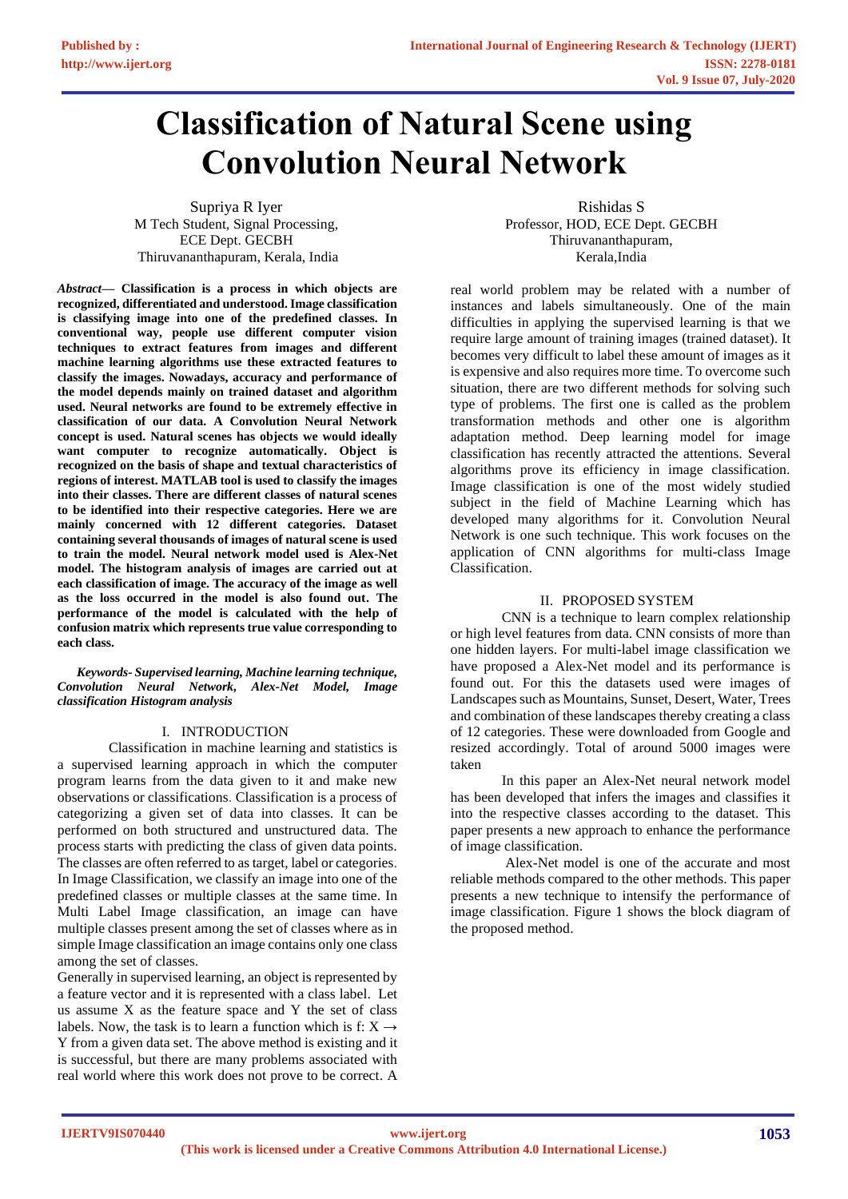# **Classification of Natural Scene using Convolution Neural Network**

Supriya R Iyer M Tech Student, Signal Processing, ECE Dept. GECBH Thiruvananthapuram, Kerala, India

Rishidas S Professor, HOD, ECE Dept. GECBH Thiruvananthapuram, Kerala,India

*Abstract***— Classification is a process in which objects are recognized, differentiated and understood. Image classification is classifying image into one of the predefined classes. In conventional way, people use different computer vision techniques to extract features from images and different machine learning algorithms use these extracted features to classify the images. Nowadays, accuracy and performance of the model depends mainly on trained dataset and algorithm used. Neural networks are found to be extremely effective in classification of our data. A Convolution Neural Network concept is used. Natural scenes has objects we would ideally want computer to recognize automatically. Object is recognized on the basis of shape and textual characteristics of regions of interest. MATLAB tool is used to classify the images into their classes. There are different classes of natural scenes to be identified into their respective categories. Here we are mainly concerned with 12 different categories. Dataset containing several thousands of images of natural scene is used to train the model. Neural network model used is Alex-Net model. The histogram analysis of images are carried out at each classification of image. The accuracy of the image as well as the loss occurred in the model is also found out. The performance of the model is calculated with the help of confusion matrix which represents true value corresponding to each class.**

*Keywords- Supervised learning, Machine learning technique, Convolution Neural Network, Alex-Net Model, Image classification Histogram analysis*

# I. INTRODUCTION

Classification in machine learning and statistics is a supervised learning approach in which the computer program learns from the data given to it and make new observations or classifications. Classification is a process of categorizing a given set of data into classes. It can be performed on both structured and unstructured data. The process starts with predicting the class of given data points. The classes are often referred to as target, label or categories. In Image Classification, we classify an image into one of the predefined classes or multiple classes at the same time. In Multi Label Image classification, an image can have multiple classes present among the set of classes where as in simple Image classification an image contains only one class among the set of classes.

Generally in supervised learning, an object is represented by a feature vector and it is represented with a class label. Let us assume X as the feature space and Y the set of class labels. Now, the task is to learn a function which is f:  $X \rightarrow$ Y from a given data set. The above method is existing and it is successful, but there are many problems associated with real world where this work does not prove to be correct. A

real world problem may be related with a number of instances and labels simultaneously. One of the main difficulties in applying the supervised learning is that we require large amount of training images (trained dataset). It becomes very difficult to label these amount of images as it is expensive and also requires more time. To overcome such situation, there are two different methods for solving such type of problems. The first one is called as the problem transformation methods and other one is algorithm adaptation method. Deep learning model for image classification has recently attracted the attentions. Several algorithms prove its efficiency in image classification. Image classification is one of the most widely studied subject in the field of Machine Learning which has developed many algorithms for it. Convolution Neural Network is one such technique. This work focuses on the application of CNN algorithms for multi-class Image Classification.

## II. PROPOSED SYSTEM

CNN is a technique to learn complex relationship or high level features from data. CNN consists of more than one hidden layers. For multi-label image classification we have proposed a Alex-Net model and its performance is found out. For this the datasets used were images of Landscapes such as Mountains, Sunset, Desert, Water, Trees and combination of these landscapes thereby creating a class of 12 categories. These were downloaded from Google and resized accordingly. Total of around 5000 images were taken

In this paper an Alex-Net neural network model has been developed that infers the images and classifies it into the respective classes according to the dataset. This paper presents a new approach to enhance the performance of image classification.

Alex-Net model is one of the accurate and most reliable methods compared to the other methods. This paper presents a new technique to intensify the performance of image classification. Figure 1 shows the block diagram of the proposed method.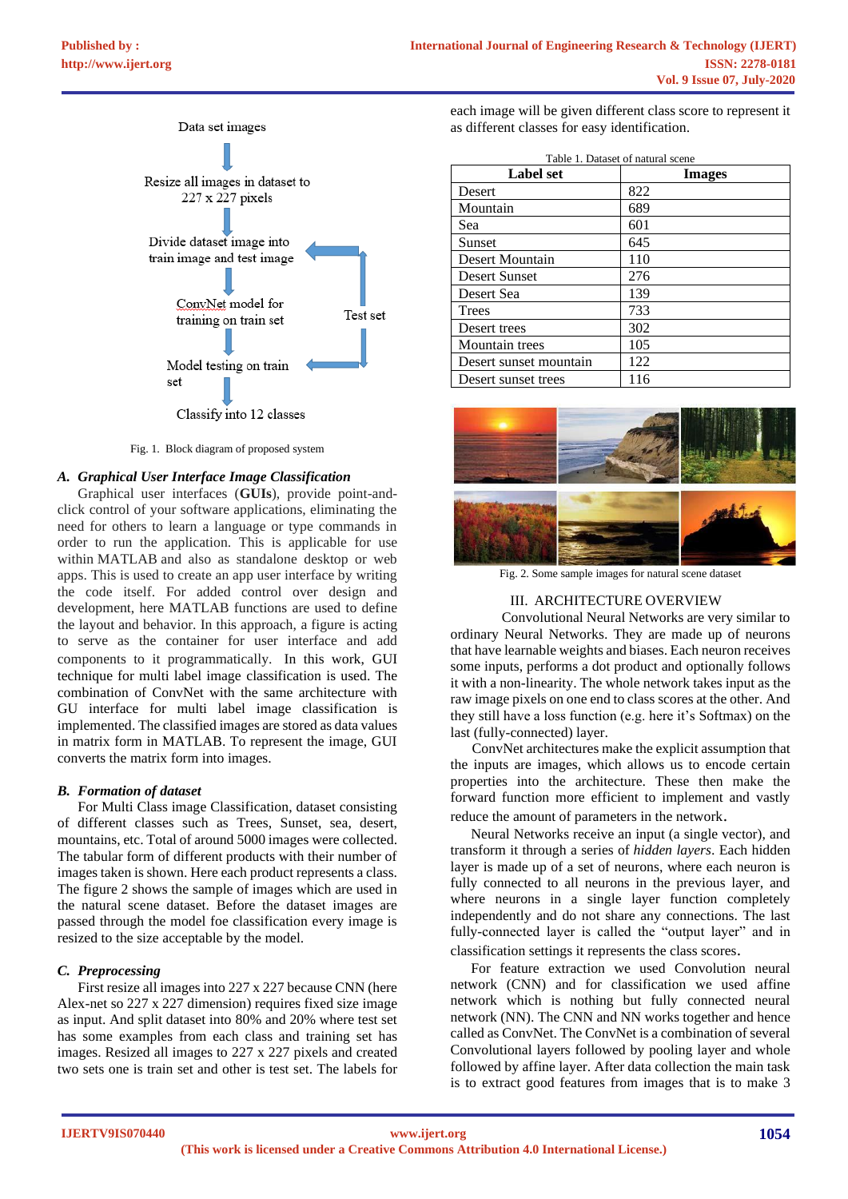

Fig. 1. Block diagram of proposed system

#### *A. Graphical User Interface Image Classification*

Graphical user interfaces (**GUIs**), provide point-andclick control of your software applications, eliminating the need for others to learn a language or type commands in order to run the application. This is applicable for use within MATLAB and also as standalone desktop or web apps. This is used to create an app user interface by writing the code itself. For added control over design and development, here MATLAB functions are used to define the layout and behavior. In this approach, a figure is acting to serve as the container for user interface and add components to it programmatically. In this work, GUI technique for multi label image classification is used. The combination of ConvNet with the same architecture with GU interface for multi label image classification is implemented. The classified images are stored as data values in matrix form in MATLAB. To represent the image, GUI converts the matrix form into images.

#### *B. Formation of dataset*

For Multi Class image Classification, dataset consisting of different classes such as Trees, Sunset, sea, desert, mountains, etc. Total of around 5000 images were collected. The tabular form of different products with their number of images taken is shown. Here each product represents a class. The figure 2 shows the sample of images which are used in the natural scene dataset. Before the dataset images are passed through the model foe classification every image is resized to the size acceptable by the model.

## *C. Preprocessing*

First resize all images into 227 x 227 because CNN (here Alex-net so 227 x 227 dimension) requires fixed size image as input. And split dataset into 80% and 20% where test set has some examples from each class and training set has images. Resized all images to 227 x 227 pixels and created two sets one is train set and other is test set. The labels for

each image will be given different class score to represent it as different classes for easy identification.

| Table 1. Dataset of natural scene |               |
|-----------------------------------|---------------|
| <b>Label set</b>                  | <b>Images</b> |
| Desert                            | 822           |
| Mountain                          | 689           |
| Sea                               | 601           |
| Sunset                            | 645           |
| Desert Mountain                   | 110           |
| <b>Desert Sunset</b>              | 276           |
| Desert Sea                        | 139           |
| <b>Trees</b>                      | 733           |
| Desert trees                      | 302           |
| Mountain trees                    | 105           |
| Desert sunset mountain            | 122           |
| Desert sunset trees               | 116           |



Fig. 2. Some sample images for natural scene dataset

## III. ARCHITECTURE OVERVIEW

Convolutional Neural Networks are very similar to ordinary Neural Networks. They are made up of neurons that have learnable weights and biases. Each neuron receives some inputs, performs a dot product and optionally follows it with a non-linearity. The whole network takes input as the raw image pixels on one end to class scores at the other. And they still have a loss function (e.g. here it's Softmax) on the last (fully-connected) layer.

 ConvNet architectures make the explicit assumption that the inputs are images, which allows us to encode certain properties into the architecture. These then make the forward function more efficient to implement and vastly reduce the amount of parameters in the network.

Neural Networks receive an input (a single vector), and transform it through a series of *hidden layers*. Each hidden layer is made up of a set of neurons, where each neuron is fully connected to all neurons in the previous layer, and where neurons in a single layer function completely independently and do not share any connections. The last fully-connected layer is called the "output layer" and in classification settings it represents the class scores.

For feature extraction we used Convolution neural network (CNN) and for classification we used affine network which is nothing but fully connected neural network (NN). The CNN and NN works together and hence called as ConvNet. The ConvNet is a combination of several Convolutional layers followed by pooling layer and whole followed by affine layer. After data collection the main task is to extract good features from images that is to make 3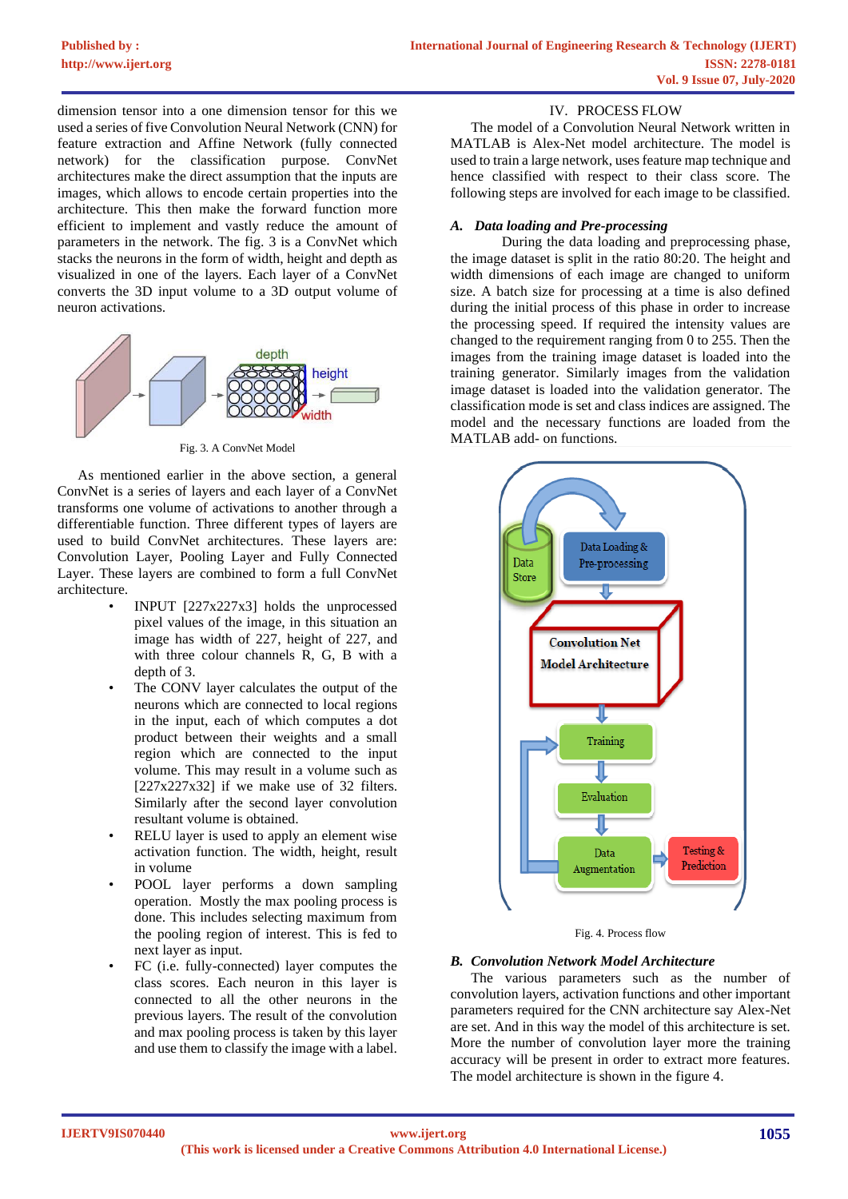dimension tensor into a one dimension tensor for this we used a series of five Convolution Neural Network (CNN) for feature extraction and Affine Network (fully connected network) for the classification purpose. ConvNet architectures make the direct assumption that the inputs are images, which allows to encode certain properties into the architecture. This then make the forward function more efficient to implement and vastly reduce the amount of parameters in the network. The fig. 3 is a ConvNet which stacks the neurons in the form of width, height and depth as visualized in one of the layers. Each layer of a ConvNet converts the 3D input volume to a 3D output volume of neuron activations.



As mentioned earlier in the above section, a general ConvNet is a series of layers and each layer of a ConvNet transforms one volume of activations to another through a differentiable function. Three different types of layers are used to build ConvNet architectures. These layers are: Convolution Layer, Pooling Layer and Fully Connected Layer. These layers are combined to form a full ConvNet architecture.

- INPUT [227x227x3] holds the unprocessed pixel values of the image, in this situation an image has width of 227, height of 227, and with three colour channels R, G, B with a depth of 3.
- The CONV layer calculates the output of the neurons which are connected to local regions in the input, each of which computes a dot product between their weights and a small region which are connected to the input volume. This may result in a volume such as  $[227x227x32]$  if we make use of 32 filters. Similarly after the second layer convolution resultant volume is obtained.
- RELU layer is used to apply an element wise activation function. The width, height, result in volume
- POOL layer performs a down sampling operation. Mostly the max pooling process is done. This includes selecting maximum from the pooling region of interest. This is fed to next layer as input.
- FC (i.e. fully-connected) layer computes the class scores. Each neuron in this layer is connected to all the other neurons in the previous layers. The result of the convolution and max pooling process is taken by this layer and use them to classify the image with a label.

# IV. PROCESS FLOW

The model of a Convolution Neural Network written in MATLAB is Alex-Net model architecture. The model is used to train a large network, uses feature map technique and hence classified with respect to their class score. The following steps are involved for each image to be classified.

# *A. Data loading and Pre-processing*

During the data loading and preprocessing phase, the image dataset is split in the ratio 80:20. The height and width dimensions of each image are changed to uniform size. A batch size for processing at a time is also defined during the initial process of this phase in order to increase the processing speed. If required the intensity values are changed to the requirement ranging from 0 to 255. Then the images from the training image dataset is loaded into the training generator. Similarly images from the validation image dataset is loaded into the validation generator. The classification mode is set and class indices are assigned. The model and the necessary functions are loaded from the MATLAB add- on functions.



Fig. 4. Process flow

#### *B. Convolution Network Model Architecture*

The various parameters such as the number of convolution layers, activation functions and other important parameters required for the CNN architecture say Alex-Net are set. And in this way the model of this architecture is set. More the number of convolution layer more the training accuracy will be present in order to extract more features. The model architecture is shown in the figure 4.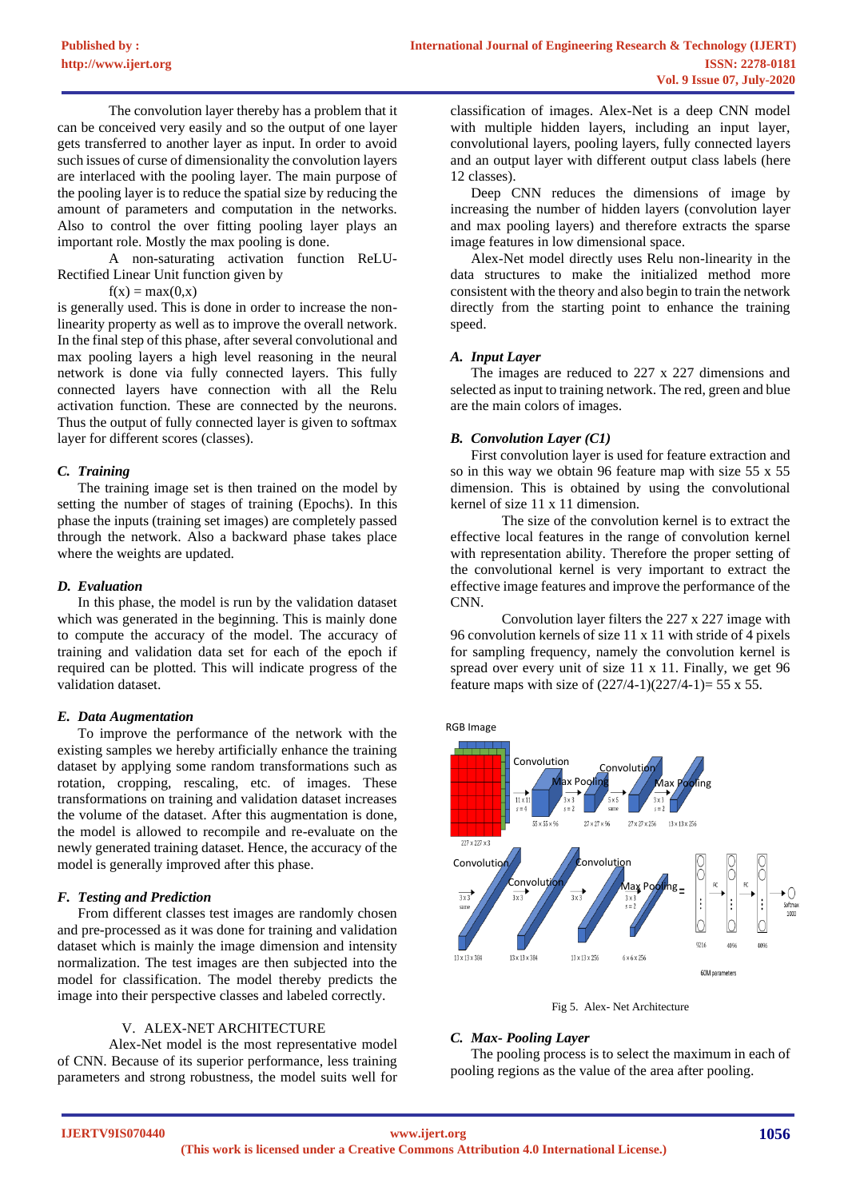The convolution layer thereby has a problem that it can be conceived very easily and so the output of one layer gets transferred to another layer as input. In order to avoid such issues of curse of dimensionality the convolution layers are interlaced with the pooling layer. The main purpose of the pooling layer is to reduce the spatial size by reducing the amount of parameters and computation in the networks. Also to control the over fitting pooling layer plays an important role. Mostly the max pooling is done.

A non-saturating activation function ReLU-Rectified Linear Unit function given by

 $f(x) = max(0,x)$ 

is generally used. This is done in order to increase the nonlinearity property as well as to improve the overall network. In the final step of this phase, after several convolutional and max pooling layers a high level reasoning in the neural network is done via fully connected layers. This fully connected layers have connection with all the Relu activation function. These are connected by the neurons. Thus the output of fully connected layer is given to softmax layer for different scores (classes).

# *C. Training*

The training image set is then trained on the model by setting the number of stages of training (Epochs). In this phase the inputs (training set images) are completely passed through the network. Also a backward phase takes place where the weights are updated.

# *D. Evaluation*

In this phase, the model is run by the validation dataset which was generated in the beginning. This is mainly done to compute the accuracy of the model. The accuracy of training and validation data set for each of the epoch if required can be plotted. This will indicate progress of the validation dataset.

# *E. Data Augmentation*

To improve the performance of the network with the existing samples we hereby artificially enhance the training dataset by applying some random transformations such as rotation, cropping, rescaling, etc. of images. These transformations on training and validation dataset increases the volume of the dataset. After this augmentation is done, the model is allowed to recompile and re-evaluate on the newly generated training dataset. Hence, the accuracy of the model is generally improved after this phase.

# *F. Testing and Prediction*

From different classes test images are randomly chosen and pre-processed as it was done for training and validation dataset which is mainly the image dimension and intensity normalization. The test images are then subjected into the model for classification. The model thereby predicts the image into their perspective classes and labeled correctly.

## V. ALEX-NET ARCHITECTURE

Alex-Net model is the most representative model of CNN. Because of its superior performance, less training parameters and strong robustness, the model suits well for

classification of images. Alex-Net is a deep CNN model with multiple hidden layers, including an input layer, convolutional layers, pooling layers, fully connected layers and an output layer with different output class labels (here 12 classes).

Deep CNN reduces the dimensions of image by increasing the number of hidden layers (convolution layer and max pooling layers) and therefore extracts the sparse image features in low dimensional space.

Alex-Net model directly uses Relu non-linearity in the data structures to make the initialized method more consistent with the theory and also begin to train the network directly from the starting point to enhance the training speed.

## *A. Input Layer*

The images are reduced to 227 x 227 dimensions and selected as input to training network. The red, green and blue are the main colors of images.

## *B. Convolution Layer (C1)*

First convolution layer is used for feature extraction and so in this way we obtain 96 feature map with size 55 x 55 dimension. This is obtained by using the convolutional kernel of size 11 x 11 dimension.

The size of the convolution kernel is to extract the effective local features in the range of convolution kernel with representation ability. Therefore the proper setting of the convolutional kernel is very important to extract the effective image features and improve the performance of the CNN.

Convolution layer filters the 227 x 227 image with 96 convolution kernels of size 11 x 11 with stride of 4 pixels for sampling frequency, namely the convolution kernel is spread over every unit of size 11 x 11. Finally, we get 96 feature maps with size of  $(227/4-1)(227/4-1)= 55 \times 55$ .

RGB Image



Fig 5. Alex- Net Architecture

# *C. Max- Pooling Layer*

The pooling process is to select the maximum in each of pooling regions as the value of the area after pooling.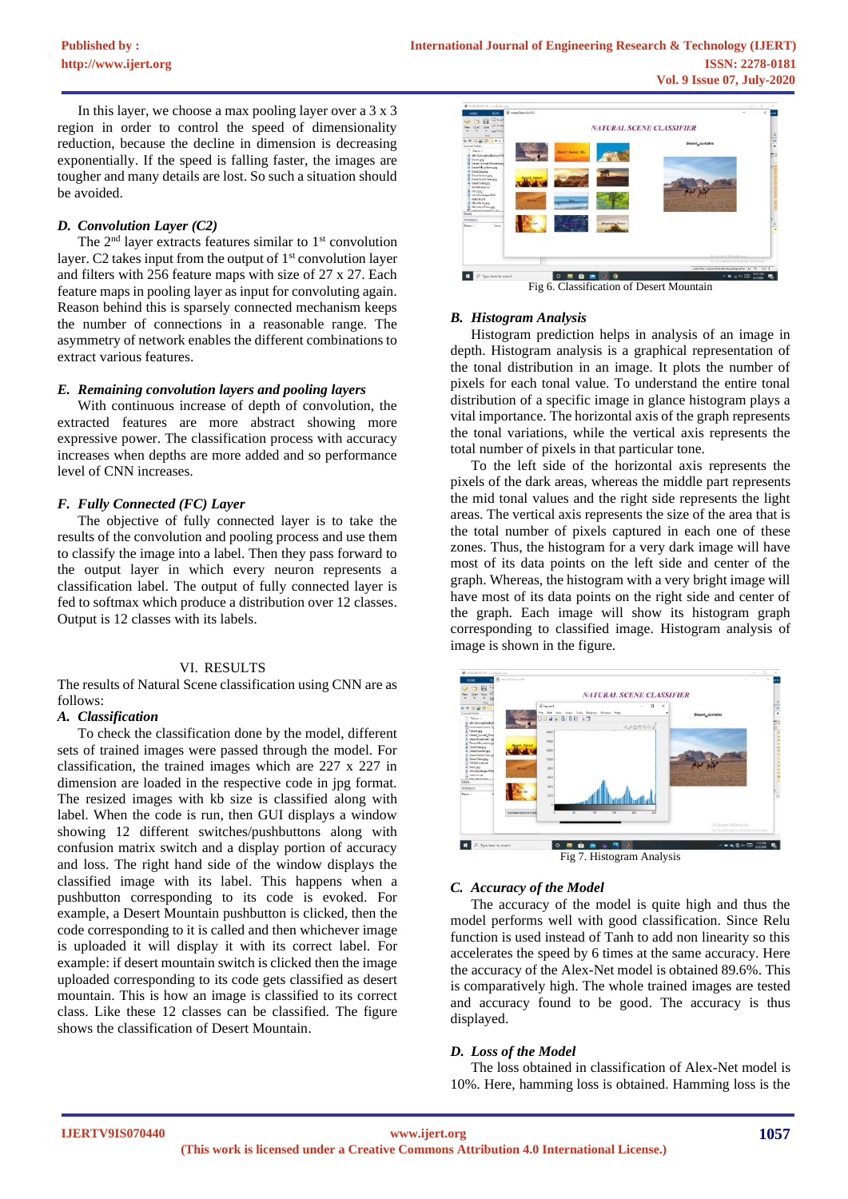In this layer, we choose a max pooling layer over a 3 x 3 region in order to control the speed of dimensionality reduction, because the decline in dimension is decreasing exponentially. If the speed is falling faster, the images are tougher and many details are lost. So such a situation should be avoided.

## *D. Convolution Layer (C2)*

The  $2<sup>nd</sup>$  layer extracts features similar to  $1<sup>st</sup>$  convolution layer. C2 takes input from the output of  $1<sup>st</sup>$  convolution layer and filters with 256 feature maps with size of 27 x 27. Each feature maps in pooling layer as input for convoluting again. Reason behind this is sparsely connected mechanism keeps the number of connections in a reasonable range. The asymmetry of network enables the different combinations to extract various features.

## *E. Remaining convolution layers and pooling layers*

With continuous increase of depth of convolution, the extracted features are more abstract showing more expressive power. The classification process with accuracy increases when depths are more added and so performance level of CNN increases.

# *F. Fully Connected (FC) Layer*

The objective of fully connected layer is to take the results of the convolution and pooling process and use them to classify the image into a label. Then they pass forward to the output layer in which every neuron represents a classification label. The output of fully connected layer is fed to softmax which produce a distribution over 12 classes. Output is 12 classes with its labels.

## VI. RESULTS

The results of Natural Scene classification using CNN are as follows:

#### *A. Classification*

To check the classification done by the model, different sets of trained images were passed through the model. For classification, the trained images which are 227 x 227 in dimension are loaded in the respective code in jpg format. The resized images with kb size is classified along with label. When the code is run, then GUI displays a window showing 12 different switches/pushbuttons along with confusion matrix switch and a display portion of accuracy and loss. The right hand side of the window displays the classified image with its label. This happens when a pushbutton corresponding to its code is evoked. For example, a Desert Mountain pushbutton is clicked, then the code corresponding to it is called and then whichever image is uploaded it will display it with its correct label. For example: if desert mountain switch is clicked then the image uploaded corresponding to its code gets classified as desert mountain. This is how an image is classified to its correct class. Like these 12 classes can be classified. The figure shows the classification of Desert Mountain.



#### *B. Histogram Analysis*

Histogram prediction helps in analysis of an image in depth. Histogram analysis is a graphical representation of the tonal distribution in an image. It plots the number of pixels for each tonal value. To understand the entire tonal distribution of a specific image in glance histogram plays a vital importance. The horizontal axis of the graph represents the tonal variations, while the vertical axis represents the total number of pixels in that particular tone.

To the left side of the horizontal axis represents the pixels of the dark areas, whereas the middle part represents the mid tonal values and the right side represents the light areas. The vertical axis represents the size of the area that is the total number of pixels captured in each one of these zones. Thus, the histogram for a very dark image will have most of its data points on the left side and center of the graph. Whereas, the histogram with a very bright image will have most of its data points on the right side and center of the graph. Each image will show its histogram graph corresponding to classified image. Histogram analysis of image is shown in the figure.



#### *C. Accuracy of the Model*

The accuracy of the model is quite high and thus the model performs well with good classification. Since Relu function is used instead of Tanh to add non linearity so this accelerates the speed by 6 times at the same accuracy. Here the accuracy of the Alex-Net model is obtained 89.6%. This is comparatively high. The whole trained images are tested and accuracy found to be good. The accuracy is thus displayed.

#### *D. Loss of the Model*

The loss obtained in classification of Alex-Net model is 10%. Here, hamming loss is obtained. Hamming loss is the